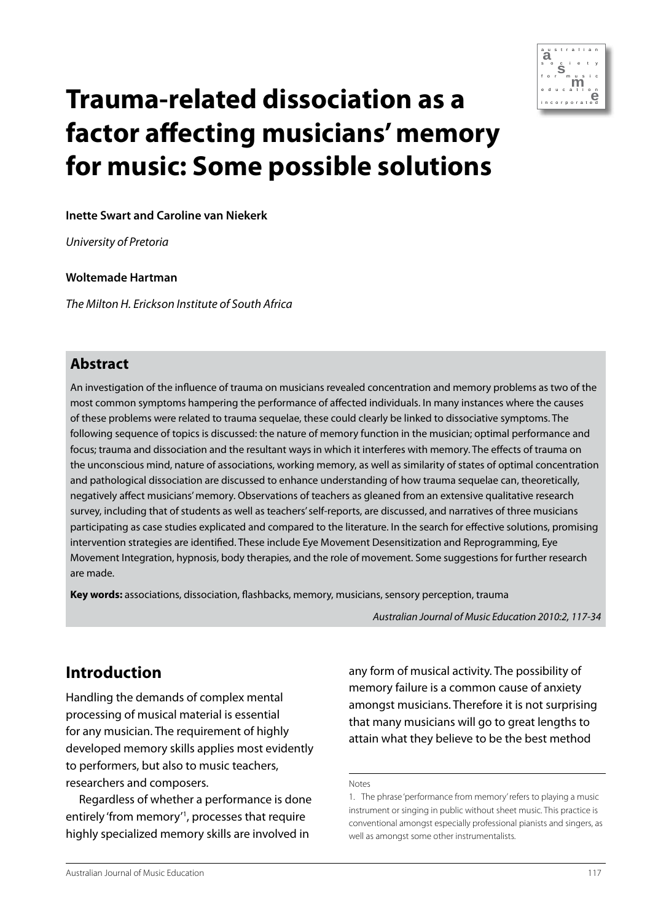

# **m e Trauma-related dissociation as a factor affecting musicians' memory for music: Some possible solutions**

#### **Inette Swart and Caroline van Niekerk**

*University of Pretoria* 

#### **Woltemade Hartman**

*The Milton H. Erickson Institute of South Africa* 

### **Abstract**

An investigation of the influence of trauma on musicians revealed concentration and memory problems as two of the most common symptoms hampering the performance of affected individuals. In many instances where the causes of these problems were related to trauma sequelae, these could clearly be linked to dissociative symptoms. The following sequence of topics is discussed: the nature of memory function in the musician; optimal performance and focus; trauma and dissociation and the resultant ways in which it interferes with memory. The effects of trauma on the unconscious mind, nature of associations, working memory, as well as similarity of states of optimal concentration and pathological dissociation are discussed to enhance understanding of how trauma sequelae can, theoretically, negatively affect musicians' memory. Observations of teachers as gleaned from an extensive qualitative research survey, including that of students as well as teachers' self-reports, are discussed, and narratives of three musicians participating as case studies explicated and compared to the literature. In the search for effective solutions, promising intervention strategies are identified. These include Eye Movement Desensitization and Reprogramming, Eye Movement Integration, hypnosis, body therapies, and the role of movement. Some suggestions for further research are made.

**Key words:** associations, dissociation, flashbacks, memory, musicians, sensory perception, trauma

*Australian Journal of Music Education 2010:2, 117-34*

# **Introduction**

Handling the demands of complex mental processing of musical material is essential for any musician. The requirement of highly developed memory skills applies most evidently to performers, but also to music teachers, researchers and composers.

Regardless of whether a performance is done entirely 'from memory'1 , processes that require highly specialized memory skills are involved in

any form of musical activity. The possibility of memory failure is a common cause of anxiety amongst musicians. Therefore it is not surprising that many musicians will go to great lengths to attain what they believe to be the best method

Notes

<sup>1.</sup> The phrase 'performance from memory' refers to playing a music instrument or singing in public without sheet music. This practice is conventional amongst especially professional pianists and singers, as well as amongst some other instrumentalists.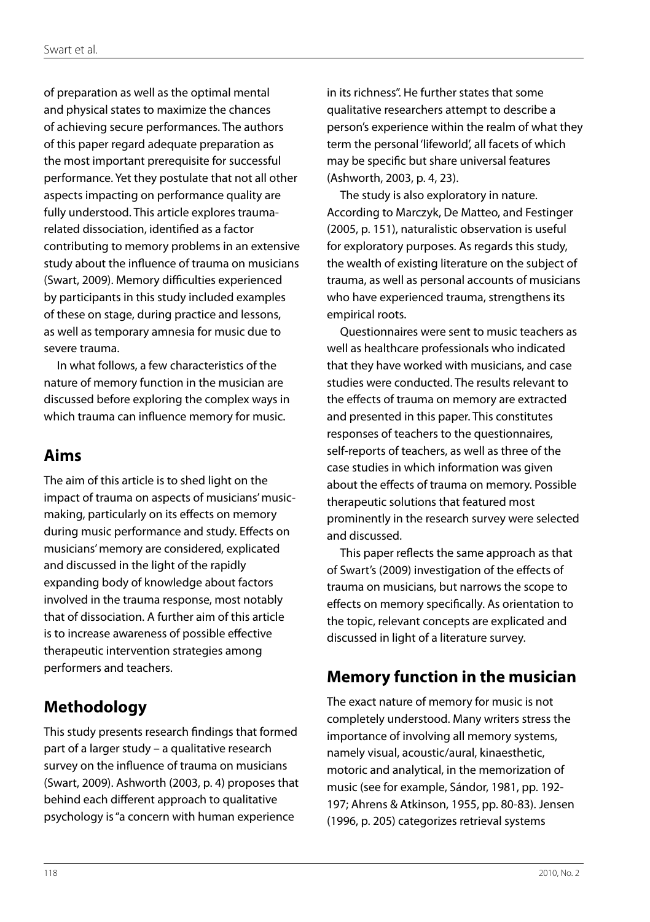of preparation as well as the optimal mental and physical states to maximize the chances of achieving secure performances. The authors of this paper regard adequate preparation as the most important prerequisite for successful performance. Yet they postulate that not all other aspects impacting on performance quality are fully understood. This article explores traumarelated dissociation, identified as a factor contributing to memory problems in an extensive study about the influence of trauma on musicians (Swart, 2009). Memory difficulties experienced by participants in this study included examples of these on stage, during practice and lessons, as well as temporary amnesia for music due to severe trauma.

In what follows, a few characteristics of the nature of memory function in the musician are discussed before exploring the complex ways in which trauma can influence memory for music.

# **Aims**

The aim of this article is to shed light on the impact of trauma on aspects of musicians' musicmaking, particularly on its effects on memory during music performance and study. Effects on musicians' memory are considered, explicated and discussed in the light of the rapidly expanding body of knowledge about factors involved in the trauma response, most notably that of dissociation. A further aim of this article is to increase awareness of possible effective therapeutic intervention strategies among performers and teachers.

# **Methodology**

This study presents research findings that formed part of a larger study – a qualitative research survey on the influence of trauma on musicians (Swart, 2009). Ashworth (2003, p. 4) proposes that behind each different approach to qualitative psychology is "a concern with human experience

in its richness". He further states that some qualitative researchers attempt to describe a person's experience within the realm of what they term the personal 'lifeworld', all facets of which may be specific but share universal features (Ashworth, 2003, p. 4, 23).

The study is also exploratory in nature. According to Marczyk, De Matteo, and Festinger (2005, p. 151), naturalistic observation is useful for exploratory purposes. As regards this study, the wealth of existing literature on the subject of trauma, as well as personal accounts of musicians who have experienced trauma, strengthens its empirical roots.

Questionnaires were sent to music teachers as well as healthcare professionals who indicated that they have worked with musicians, and case studies were conducted. The results relevant to the effects of trauma on memory are extracted and presented in this paper. This constitutes responses of teachers to the questionnaires, self-reports of teachers, as well as three of the case studies in which information was given about the effects of trauma on memory. Possible therapeutic solutions that featured most prominently in the research survey were selected and discussed.

This paper reflects the same approach as that of Swart's (2009) investigation of the effects of trauma on musicians, but narrows the scope to effects on memory specifically. As orientation to the topic, relevant concepts are explicated and discussed in light of a literature survey.

# **Memory function in the musician**

The exact nature of memory for music is not completely understood. Many writers stress the importance of involving all memory systems, namely visual, acoustic/aural, kinaesthetic, motoric and analytical, in the memorization of music (see for example, Sándor, 1981, pp. 192- 197; Ahrens & Atkinson, 1955, pp. 80-83). Jensen (1996, p. 205) categorizes retrieval systems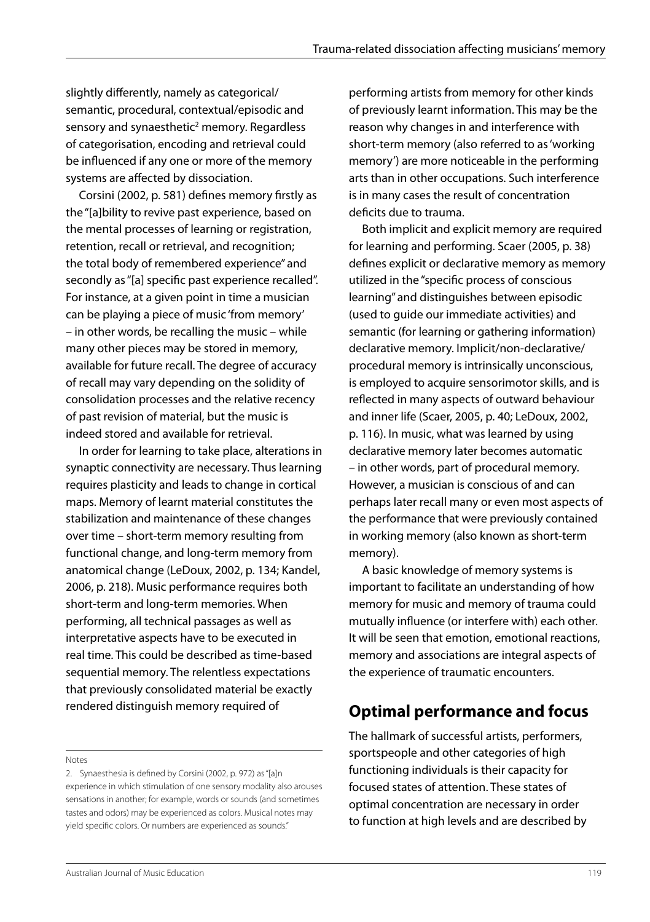slightly differently, namely as categorical/ semantic, procedural, contextual/episodic and sensory and synaesthetic<sup>2</sup> memory. Regardless of categorisation, encoding and retrieval could be influenced if any one or more of the memory systems are affected by dissociation.

Corsini (2002, p. 581) defines memory firstly as the "[a]bility to revive past experience, based on the mental processes of learning or registration, retention, recall or retrieval, and recognition; the total body of remembered experience" and secondly as "[a] specific past experience recalled". For instance, at a given point in time a musician can be playing a piece of music 'from memory' – in other words, be recalling the music – while many other pieces may be stored in memory, available for future recall. The degree of accuracy of recall may vary depending on the solidity of consolidation processes and the relative recency of past revision of material, but the music is indeed stored and available for retrieval.

In order for learning to take place, alterations in synaptic connectivity are necessary. Thus learning requires plasticity and leads to change in cortical maps. Memory of learnt material constitutes the stabilization and maintenance of these changes over time – short-term memory resulting from functional change, and long-term memory from anatomical change (LeDoux, 2002, p. 134; Kandel, 2006, p. 218). Music performance requires both short-term and long-term memories. When performing, all technical passages as well as interpretative aspects have to be executed in real time. This could be described as time-based sequential memory. The relentless expectations that previously consolidated material be exactly rendered distinguish memory required of

Notes

performing artists from memory for other kinds of previously learnt information. This may be the reason why changes in and interference with short-term memory (also referred to as 'working memory') are more noticeable in the performing arts than in other occupations. Such interference is in many cases the result of concentration deficits due to trauma.

Both implicit and explicit memory are required for learning and performing. Scaer (2005, p. 38) defines explicit or declarative memory as memory utilized in the "specific process of conscious learning" and distinguishes between episodic (used to guide our immediate activities) and semantic (for learning or gathering information) declarative memory. Implicit/non-declarative/ procedural memory is intrinsically unconscious, is employed to acquire sensorimotor skills, and is reflected in many aspects of outward behaviour and inner life (Scaer, 2005, p. 40; LeDoux, 2002, p. 116). In music, what was learned by using declarative memory later becomes automatic – in other words, part of procedural memory. However, a musician is conscious of and can perhaps later recall many or even most aspects of the performance that were previously contained in working memory (also known as short-term memory).

A basic knowledge of memory systems is important to facilitate an understanding of how memory for music and memory of trauma could mutually influence (or interfere with) each other. It will be seen that emotion, emotional reactions, memory and associations are integral aspects of the experience of traumatic encounters.

# **Optimal performance and focus**

The hallmark of successful artists, performers, sportspeople and other categories of high functioning individuals is their capacity for focused states of attention. These states of optimal concentration are necessary in order to function at high levels and are described by

<sup>2.</sup> Synaesthesia is defined by Corsini (2002, p. 972) as "[a]n experience in which stimulation of one sensory modality also arouses sensations in another; for example, words or sounds (and sometimes tastes and odors) may be experienced as colors. Musical notes may yield specific colors. Or numbers are experienced as sounds."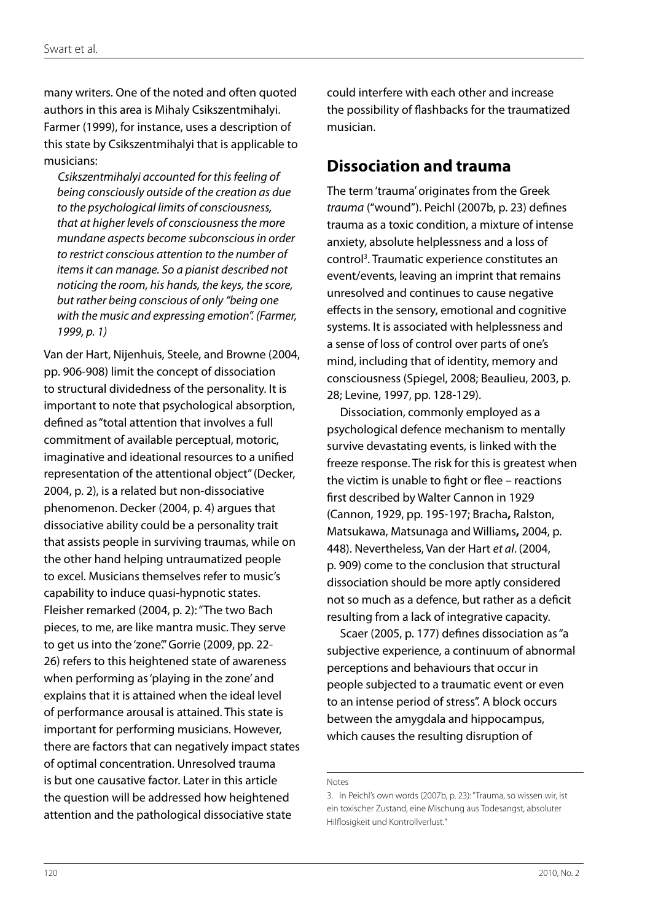many writers. One of the noted and often quoted authors in this area is Mihaly Csikszentmihalyi. Farmer (1999), for instance, uses a description of this state by Csikszentmihalyi that is applicable to musicians:

*Csikszentmihalyi accounted for this feeling of being consciously outside of the creation as due to the psychological limits of consciousness, that at higher levels of consciousness the more mundane aspects become subconscious in order to restrict conscious attention to the number of items it can manage. So a pianist described not noticing the room, his hands, the keys, the score, but rather being conscious of only "being one with the music and expressing emotion". (Farmer, 1999, p. 1)*

Van der Hart, Nijenhuis, Steele, and Browne (2004, pp. 906-908) limit the concept of dissociation to structural dividedness of the personality. It is important to note that psychological absorption, defined as "total attention that involves a full commitment of available perceptual, motoric, imaginative and ideational resources to a unified representation of the attentional object" (Decker, 2004, p. 2), is a related but non-dissociative phenomenon. Decker (2004, p. 4) argues that dissociative ability could be a personality trait that assists people in surviving traumas, while on the other hand helping untraumatized people to excel. Musicians themselves refer to music's capability to induce quasi-hypnotic states. Fleisher remarked (2004, p. 2): "The two Bach pieces, to me, are like mantra music. They serve to get us into the 'zone'." Gorrie (2009, pp. 22-26) refers to this heightened state of awareness when performing as 'playing in the zone' and explains that it is attained when the ideal level of performance arousal is attained. This state is important for performing musicians. However, there are factors that can negatively impact states of optimal concentration. Unresolved trauma is but one causative factor. Later in this article the question will be addressed how heightened attention and the pathological dissociative state

could interfere with each other and increase the possibility of flashbacks for the traumatized musician.

### **Dissociation and trauma**

The term 'trauma' originates from the Greek *trauma* ("wound"). Peichl (2007b, p. 23) defines trauma as a toxic condition, a mixture of intense anxiety, absolute helplessness and a loss of control3 . Traumatic experience constitutes an event/events, leaving an imprint that remains unresolved and continues to cause negative effects in the sensory, emotional and cognitive systems. It is associated with helplessness and a sense of loss of control over parts of one's mind, including that of identity, memory and consciousness (Spiegel, 2008; Beaulieu, 2003, p. 28; Levine, 1997, pp. 128-129).

Dissociation, commonly employed as a psychological defence mechanism to mentally survive devastating events, is linked with the freeze response. The risk for this is greatest when the victim is unable to fight or flee – reactions first described by Walter Cannon in 1929 (Cannon, 1929, pp. 195-197; Bracha**,** Ralston, Matsukawa, Matsunaga and Williams**,** 2004, p. 448). Nevertheless, Van der Hart *et al*. (2004, p. 909) come to the conclusion that structural dissociation should be more aptly considered not so much as a defence, but rather as a deficit resulting from a lack of integrative capacity.

Scaer (2005, p. 177) defines dissociation as "a subjective experience, a continuum of abnormal perceptions and behaviours that occur in people subjected to a traumatic event or even to an intense period of stress". A block occurs between the amygdala and hippocampus, which causes the resulting disruption of

Notes

<sup>3.</sup> In Peichl's own words (2007b, p. 23): "Trauma, so wissen wir, ist ein toxischer Zustand, eine Mischung aus Todesangst, absoluter Hilflosigkeit und Kontrollverlust."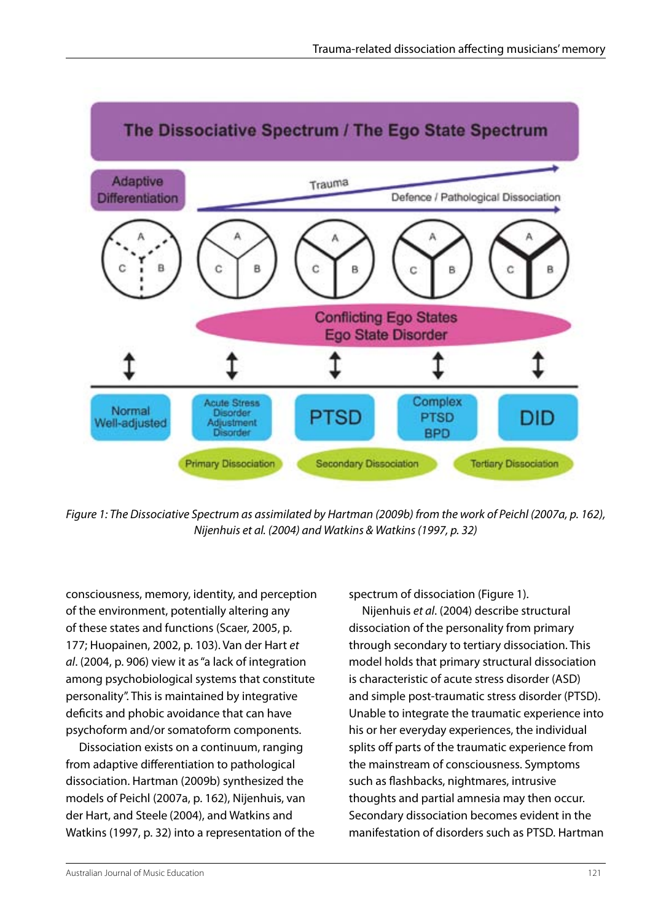

*Figure 1: The Dissociative Spectrum as assimilated by Hartman (2009b) from the work of Peichl (2007a, p. 162), Nijenhuis et al. (2004) and Watkins & Watkins (1997, p. 32)* 

consciousness, memory, identity, and perception of the environment, potentially altering any of these states and functions (Scaer, 2005, p. 177; Huopainen, 2002, p. 103). Van der Hart *et al*. (2004, p. 906) view it as "a lack of integration among psychobiological systems that constitute personality". This is maintained by integrative deficits and phobic avoidance that can have psychoform and/or somatoform components.

Dissociation exists on a continuum, ranging from adaptive differentiation to pathological dissociation. Hartman (2009b) synthesized the models of Peichl (2007a, p. 162), Nijenhuis, van der Hart, and Steele (2004), and Watkins and Watkins (1997, p. 32) into a representation of the spectrum of dissociation (Figure 1).

Nijenhuis *et al*. (2004) describe structural dissociation of the personality from primary through secondary to tertiary dissociation. This model holds that primary structural dissociation is characteristic of acute stress disorder (ASD) and simple post-traumatic stress disorder (PTSD). Unable to integrate the traumatic experience into his or her everyday experiences, the individual splits off parts of the traumatic experience from the mainstream of consciousness. Symptoms such as flashbacks, nightmares, intrusive thoughts and partial amnesia may then occur. Secondary dissociation becomes evident in the manifestation of disorders such as PTSD. Hartman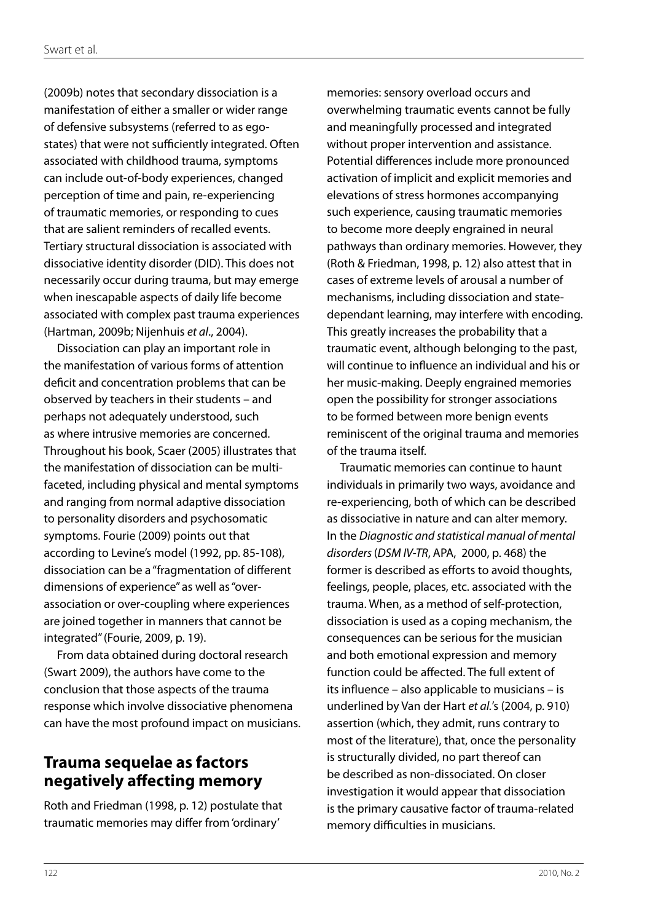(2009b) notes that secondary dissociation is a manifestation of either a smaller or wider range of defensive subsystems (referred to as egostates) that were not sufficiently integrated. Often associated with childhood trauma, symptoms can include out-of-body experiences, changed perception of time and pain, re-experiencing of traumatic memories, or responding to cues that are salient reminders of recalled events. Tertiary structural dissociation is associated with dissociative identity disorder (DID). This does not necessarily occur during trauma, but may emerge when inescapable aspects of daily life become associated with complex past trauma experiences (Hartman, 2009b; Nijenhuis *et al*., 2004).

Dissociation can play an important role in the manifestation of various forms of attention deficit and concentration problems that can be observed by teachers in their students – and perhaps not adequately understood, such as where intrusive memories are concerned. Throughout his book, Scaer (2005) illustrates that the manifestation of dissociation can be multifaceted, including physical and mental symptoms and ranging from normal adaptive dissociation to personality disorders and psychosomatic symptoms. Fourie (2009) points out that according to Levine's model (1992, pp. 85-108), dissociation can be a "fragmentation of different dimensions of experience" as well as "overassociation or over-coupling where experiences are joined together in manners that cannot be integrated" (Fourie, 2009, p. 19).

From data obtained during doctoral research (Swart 2009), the authors have come to the conclusion that those aspects of the trauma response which involve dissociative phenomena can have the most profound impact on musicians.

### **Trauma sequelae as factors negatively affecting memory**

Roth and Friedman (1998, p. 12) postulate that traumatic memories may differ from 'ordinary'

memories: sensory overload occurs and overwhelming traumatic events cannot be fully and meaningfully processed and integrated without proper intervention and assistance. Potential differences include more pronounced activation of implicit and explicit memories and elevations of stress hormones accompanying such experience, causing traumatic memories to become more deeply engrained in neural pathways than ordinary memories. However, they (Roth & Friedman, 1998, p. 12) also attest that in cases of extreme levels of arousal a number of mechanisms, including dissociation and statedependant learning, may interfere with encoding. This greatly increases the probability that a traumatic event, although belonging to the past, will continue to influence an individual and his or her music-making. Deeply engrained memories open the possibility for stronger associations to be formed between more benign events reminiscent of the original trauma and memories of the trauma itself.

Traumatic memories can continue to haunt individuals in primarily two ways, avoidance and re-experiencing, both of which can be described as dissociative in nature and can alter memory. In the *Diagnostic and statistical manual of mental disorders* (*DSM IV-TR*, APA, 2000, p. 468) the former is described as efforts to avoid thoughts, feelings, people, places, etc. associated with the trauma. When, as a method of self-protection, dissociation is used as a coping mechanism, the consequences can be serious for the musician and both emotional expression and memory function could be affected. The full extent of its influence – also applicable to musicians – is underlined by Van der Hart *et al.*'s (2004, p. 910) assertion (which, they admit, runs contrary to most of the literature), that, once the personality is structurally divided, no part thereof can be described as non-dissociated. On closer investigation it would appear that dissociation is the primary causative factor of trauma-related memory difficulties in musicians.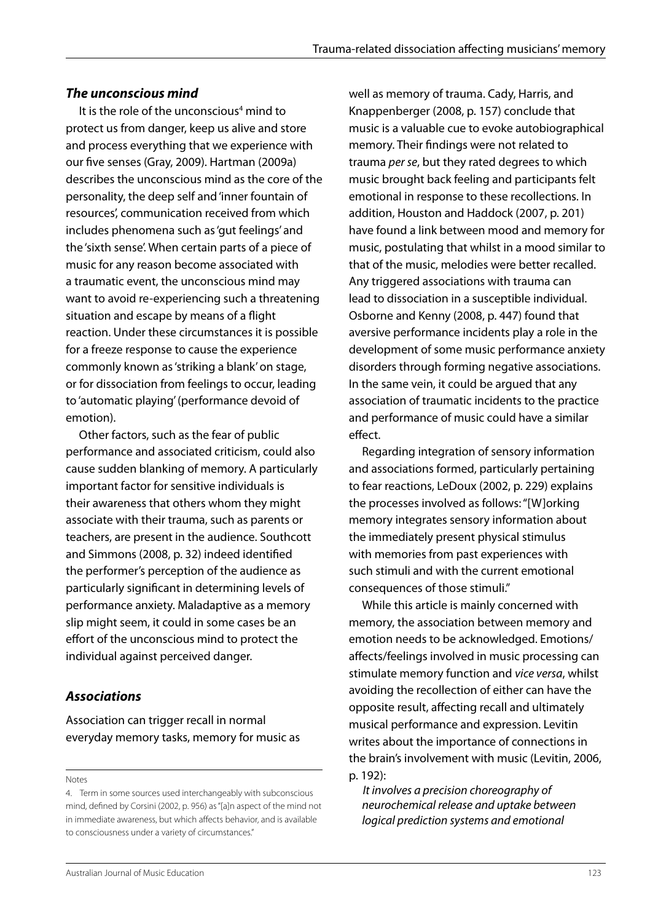#### *The unconscious mind*

It is the role of the unconscious<sup>4</sup> mind to protect us from danger, keep us alive and store and process everything that we experience with our five senses (Gray, 2009). Hartman (2009a) describes the unconscious mind as the core of the personality, the deep self and 'inner fountain of resources', communication received from which includes phenomena such as 'gut feelings' and the 'sixth sense'. When certain parts of a piece of music for any reason become associated with a traumatic event, the unconscious mind may want to avoid re-experiencing such a threatening situation and escape by means of a flight reaction. Under these circumstances it is possible for a freeze response to cause the experience commonly known as 'striking a blank' on stage, or for dissociation from feelings to occur, leading to 'automatic playing' (performance devoid of emotion).

Other factors, such as the fear of public performance and associated criticism, could also cause sudden blanking of memory. A particularly important factor for sensitive individuals is their awareness that others whom they might associate with their trauma, such as parents or teachers, are present in the audience. Southcott and Simmons (2008, p. 32) indeed identified the performer's perception of the audience as particularly significant in determining levels of performance anxiety. Maladaptive as a memory slip might seem, it could in some cases be an effort of the unconscious mind to protect the individual against perceived danger.

#### *Associations*

Association can trigger recall in normal everyday memory tasks, memory for music as

Notes

well as memory of trauma. Cady, Harris, and Knappenberger (2008, p. 157) conclude that music is a valuable cue to evoke autobiographical memory. Their findings were not related to trauma *per se*, but they rated degrees to which music brought back feeling and participants felt emotional in response to these recollections. In addition, Houston and Haddock (2007, p. 201) have found a link between mood and memory for music, postulating that whilst in a mood similar to that of the music, melodies were better recalled. Any triggered associations with trauma can lead to dissociation in a susceptible individual. Osborne and Kenny (2008, p. 447) found that aversive performance incidents play a role in the development of some music performance anxiety disorders through forming negative associations. In the same vein, it could be argued that any association of traumatic incidents to the practice and performance of music could have a similar effect.

Regarding integration of sensory information and associations formed, particularly pertaining to fear reactions, LeDoux (2002, p. 229) explains the processes involved as follows: "[W]orking memory integrates sensory information about the immediately present physical stimulus with memories from past experiences with such stimuli and with the current emotional consequences of those stimuli."

While this article is mainly concerned with memory, the association between memory and emotion needs to be acknowledged. Emotions/ affects/feelings involved in music processing can stimulate memory function and *vice versa*, whilst avoiding the recollection of either can have the opposite result, affecting recall and ultimately musical performance and expression. Levitin writes about the importance of connections in the brain's involvement with music (Levitin, 2006, p. 192):

*It involves a precision choreography of neurochemical release and uptake between logical prediction systems and emotional* 

<sup>4.</sup> Term in some sources used interchangeably with subconscious mind, defined by Corsini (2002, p. 956) as "[a]n aspect of the mind not in immediate awareness, but which affects behavior, and is available to consciousness under a variety of circumstances."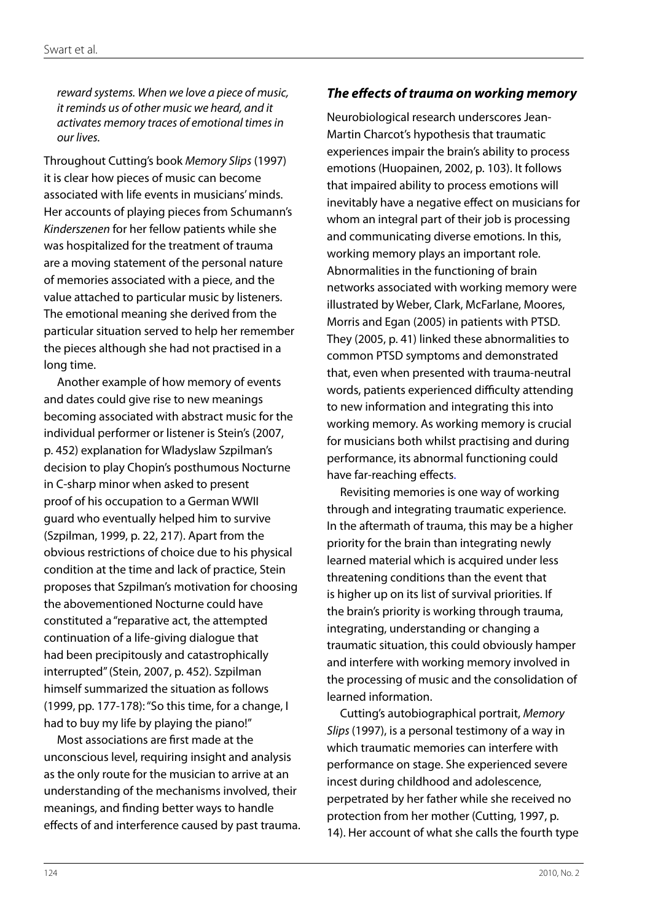*reward systems. When we love a piece of music, it reminds us of other music we heard, and it activates memory traces of emotional times in our lives.* 

Throughout Cutting's book *Memory Slips* (1997) it is clear how pieces of music can become associated with life events in musicians' minds. Her accounts of playing pieces from Schumann's *Kinderszenen* for her fellow patients while she was hospitalized for the treatment of trauma are a moving statement of the personal nature of memories associated with a piece, and the value attached to particular music by listeners. The emotional meaning she derived from the particular situation served to help her remember the pieces although she had not practised in a long time.

Another example of how memory of events and dates could give rise to new meanings becoming associated with abstract music for the individual performer or listener is Stein's (2007, p. 452) explanation for Wladyslaw Szpilman's decision to play Chopin's posthumous Nocturne in C-sharp minor when asked to present proof of his occupation to a German WWII guard who eventually helped him to survive (Szpilman, 1999, p. 22, 217). Apart from the obvious restrictions of choice due to his physical condition at the time and lack of practice, Stein proposes that Szpilman's motivation for choosing the abovementioned Nocturne could have constituted a "reparative act, the attempted continuation of a life-giving dialogue that had been precipitously and catastrophically interrupted" (Stein, 2007, p. 452). Szpilman himself summarized the situation as follows (1999, pp. 177-178): "So this time, for a change, I had to buy my life by playing the piano!"

Most associations are first made at the unconscious level, requiring insight and analysis as the only route for the musician to arrive at an understanding of the mechanisms involved, their meanings, and finding better ways to handle effects of and interference caused by past trauma.

#### *The effects of trauma on working memory*

Neurobiological research underscores Jean-Martin Charcot's hypothesis that traumatic experiences impair the brain's ability to process emotions (Huopainen, 2002, p. 103). It follows that impaired ability to process emotions will inevitably have a negative effect on musicians for whom an integral part of their job is processing and communicating diverse emotions. In this, working memory plays an important role. Abnormalities in the functioning of brain networks associated with working memory were illustrated by Weber, Clark, McFarlane, Moores, Morris and Egan (2005) in patients with PTSD. They (2005, p. 41) linked these abnormalities to common PTSD symptoms and demonstrated that, even when presented with trauma-neutral words, patients experienced difficulty attending to new information and integrating this into working memory. As working memory is crucial for musicians both whilst practising and during performance, its abnormal functioning could have far-reaching effects.

Revisiting memories is one way of working through and integrating traumatic experience. In the aftermath of trauma, this may be a higher priority for the brain than integrating newly learned material which is acquired under less threatening conditions than the event that is higher up on its list of survival priorities. If the brain's priority is working through trauma, integrating, understanding or changing a traumatic situation, this could obviously hamper and interfere with working memory involved in the processing of music and the consolidation of learned information.

Cutting's autobiographical portrait, *Memory Slips* (1997), is a personal testimony of a way in which traumatic memories can interfere with performance on stage. She experienced severe incest during childhood and adolescence, perpetrated by her father while she received no protection from her mother (Cutting, 1997, p. 14). Her account of what she calls the fourth type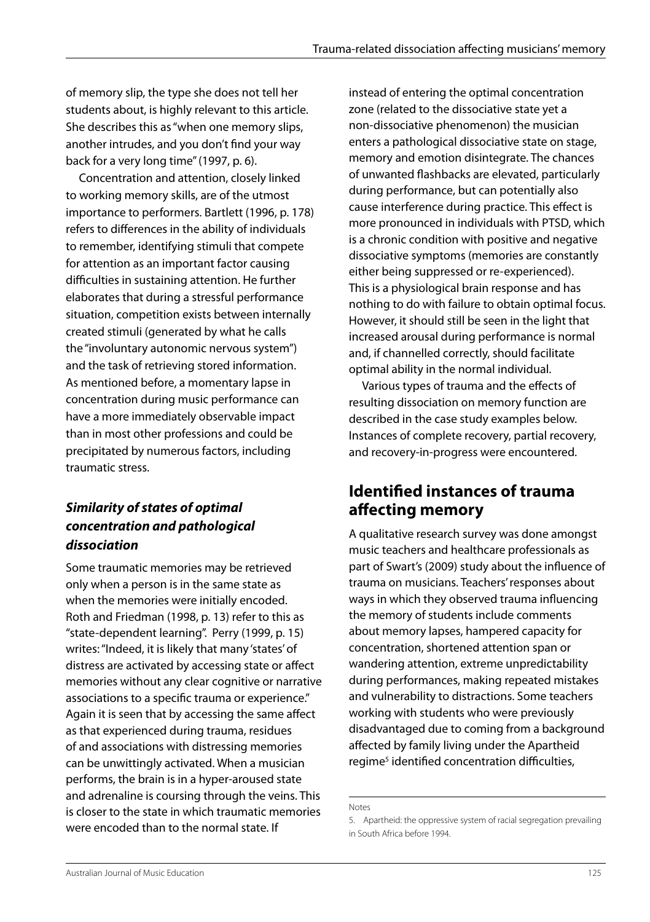of memory slip, the type she does not tell her students about, is highly relevant to this article. She describes this as "when one memory slips, another intrudes, and you don't find your way back for a very long time" (1997, p. 6).

Concentration and attention, closely linked to working memory skills, are of the utmost importance to performers. Bartlett (1996, p. 178) refers to differences in the ability of individuals to remember, identifying stimuli that compete for attention as an important factor causing difficulties in sustaining attention. He further elaborates that during a stressful performance situation, competition exists between internally created stimuli (generated by what he calls the "involuntary autonomic nervous system") and the task of retrieving stored information. As mentioned before, a momentary lapse in concentration during music performance can have a more immediately observable impact than in most other professions and could be precipitated by numerous factors, including traumatic stress.

### *Similarity of states of optimal concentration and pathological dissociation*

Some traumatic memories may be retrieved only when a person is in the same state as when the memories were initially encoded. Roth and Friedman (1998, p. 13) refer to this as "state-dependent learning". Perry (1999, p. 15) writes: "Indeed, it is likely that many 'states' of distress are activated by accessing state or affect memories without any clear cognitive or narrative associations to a specific trauma or experience." Again it is seen that by accessing the same affect as that experienced during trauma, residues of and associations with distressing memories can be unwittingly activated. When a musician performs, the brain is in a hyper-aroused state and adrenaline is coursing through the veins. This is closer to the state in which traumatic memories were encoded than to the normal state. If

instead of entering the optimal concentration zone (related to the dissociative state yet a non-dissociative phenomenon) the musician enters a pathological dissociative state on stage, memory and emotion disintegrate. The chances of unwanted flashbacks are elevated, particularly during performance, but can potentially also cause interference during practice. This effect is more pronounced in individuals with PTSD, which is a chronic condition with positive and negative dissociative symptoms (memories are constantly either being suppressed or re-experienced). This is a physiological brain response and has nothing to do with failure to obtain optimal focus. However, it should still be seen in the light that increased arousal during performance is normal and, if channelled correctly, should facilitate optimal ability in the normal individual.

Various types of trauma and the effects of resulting dissociation on memory function are described in the case study examples below. Instances of complete recovery, partial recovery, and recovery-in-progress were encountered.

### **Identified instances of trauma affecting memory**

A qualitative research survey was done amongst music teachers and healthcare professionals as part of Swart's (2009) study about the influence of trauma on musicians. Teachers' responses about ways in which they observed trauma influencing the memory of students include comments about memory lapses, hampered capacity for concentration, shortened attention span or wandering attention, extreme unpredictability during performances, making repeated mistakes and vulnerability to distractions. Some teachers working with students who were previously disadvantaged due to coming from a background affected by family living under the Apartheid regime<sup>5</sup> identified concentration difficulties,

Notes

<sup>5.</sup> Apartheid: the oppressive system of racial segregation prevailing in South Africa before 1994.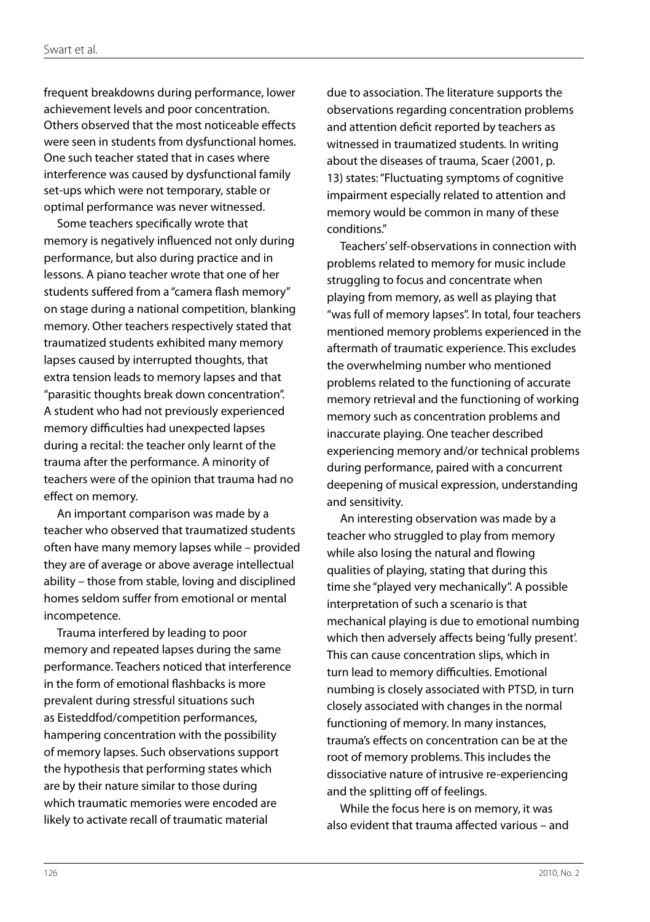frequent breakdowns during performance, lower achievement levels and poor concentration. Others observed that the most noticeable effects were seen in students from dysfunctional homes. One such teacher stated that in cases where interference was caused by dysfunctional family set-ups which were not temporary, stable or optimal performance was never witnessed.

Some teachers specifically wrote that memory is negatively influenced not only during performance, but also during practice and in lessons. A piano teacher wrote that one of her students suffered from a "camera flash memory" on stage during a national competition, blanking memory. Other teachers respectively stated that traumatized students exhibited many memory lapses caused by interrupted thoughts, that extra tension leads to memory lapses and that "parasitic thoughts break down concentration". A student who had not previously experienced memory difficulties had unexpected lapses during a recital: the teacher only learnt of the trauma after the performance. A minority of teachers were of the opinion that trauma had no effect on memory.

An important comparison was made by a teacher who observed that traumatized students often have many memory lapses while – provided they are of average or above average intellectual ability – those from stable, loving and disciplined homes seldom suffer from emotional or mental incompetence.

Trauma interfered by leading to poor memory and repeated lapses during the same performance. Teachers noticed that interference in the form of emotional flashbacks is more prevalent during stressful situations such as Eisteddfod/competition performances, hampering concentration with the possibility of memory lapses. Such observations support the hypothesis that performing states which are by their nature similar to those during which traumatic memories were encoded are likely to activate recall of traumatic material

due to association. The literature supports the observations regarding concentration problems and attention deficit reported by teachers as witnessed in traumatized students. In writing about the diseases of trauma, Scaer (2001, p. 13) states: "Fluctuating symptoms of cognitive impairment especially related to attention and memory would be common in many of these conditions."

Teachers' self-observations in connection with problems related to memory for music include struggling to focus and concentrate when playing from memory, as well as playing that "was full of memory lapses". In total, four teachers mentioned memory problems experienced in the aftermath of traumatic experience. This excludes the overwhelming number who mentioned problems related to the functioning of accurate memory retrieval and the functioning of working memory such as concentration problems and inaccurate playing. One teacher described experiencing memory and/or technical problems during performance, paired with a concurrent deepening of musical expression, understanding and sensitivity.

An interesting observation was made by a teacher who struggled to play from memory while also losing the natural and flowing qualities of playing, stating that during this time she "played very mechanically". A possible interpretation of such a scenario is that mechanical playing is due to emotional numbing which then adversely affects being 'fully present'. This can cause concentration slips, which in turn lead to memory difficulties. Emotional numbing is closely associated with PTSD, in turn closely associated with changes in the normal functioning of memory. In many instances, trauma's effects on concentration can be at the root of memory problems. This includes the dissociative nature of intrusive re-experiencing and the splitting off of feelings.

While the focus here is on memory, it was also evident that trauma affected various – and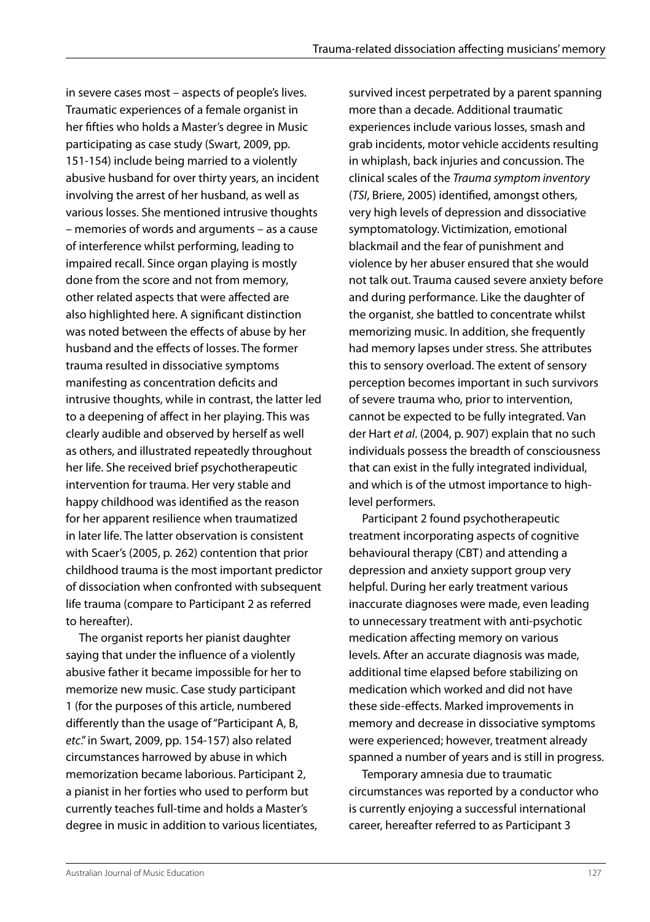in severe cases most – aspects of people's lives. Traumatic experiences of a female organist in her fifties who holds a Master's degree in Music participating as case study (Swart, 2009, pp. 151-154) include being married to a violently abusive husband for over thirty years, an incident involving the arrest of her husband, as well as various losses. She mentioned intrusive thoughts – memories of words and arguments – as a cause of interference whilst performing, leading to impaired recall. Since organ playing is mostly done from the score and not from memory, other related aspects that were affected are also highlighted here. A significant distinction was noted between the effects of abuse by her husband and the effects of losses. The former trauma resulted in dissociative symptoms manifesting as concentration deficits and intrusive thoughts, while in contrast, the latter led to a deepening of affect in her playing. This was clearly audible and observed by herself as well as others, and illustrated repeatedly throughout her life. She received brief psychotherapeutic intervention for trauma. Her very stable and happy childhood was identified as the reason for her apparent resilience when traumatized in later life. The latter observation is consistent with Scaer's (2005, p. 262) contention that prior childhood trauma is the most important predictor of dissociation when confronted with subsequent life trauma (compare to Participant 2 as referred to hereafter).

The organist reports her pianist daughter saying that under the influence of a violently abusive father it became impossible for her to memorize new music. Case study participant 1 (for the purposes of this article, numbered differently than the usage of "Participant A, B, *etc*." in Swart, 2009, pp. 154-157) also related circumstances harrowed by abuse in which memorization became laborious. Participant 2, a pianist in her forties who used to perform but currently teaches full-time and holds a Master's degree in music in addition to various licentiates, survived incest perpetrated by a parent spanning more than a decade. Additional traumatic experiences include various losses, smash and grab incidents, motor vehicle accidents resulting in whiplash, back injuries and concussion. The clinical scales of the *Trauma symptom inventory* (*TSI*, Briere, 2005) identified, amongst others, very high levels of depression and dissociative symptomatology. Victimization, emotional blackmail and the fear of punishment and violence by her abuser ensured that she would not talk out. Trauma caused severe anxiety before and during performance. Like the daughter of the organist, she battled to concentrate whilst memorizing music. In addition, she frequently had memory lapses under stress. She attributes this to sensory overload. The extent of sensory perception becomes important in such survivors of severe trauma who, prior to intervention, cannot be expected to be fully integrated. Van der Hart *et al*. (2004, p. 907) explain that no such individuals possess the breadth of consciousness that can exist in the fully integrated individual, and which is of the utmost importance to highlevel performers.

Participant 2 found psychotherapeutic treatment incorporating aspects of cognitive behavioural therapy (CBT) and attending a depression and anxiety support group very helpful. During her early treatment various inaccurate diagnoses were made, even leading to unnecessary treatment with anti-psychotic medication affecting memory on various levels. After an accurate diagnosis was made, additional time elapsed before stabilizing on medication which worked and did not have these side-effects. Marked improvements in memory and decrease in dissociative symptoms were experienced; however, treatment already spanned a number of years and is still in progress.

Temporary amnesia due to traumatic circumstances was reported by a conductor who is currently enjoying a successful international career, hereafter referred to as Participant 3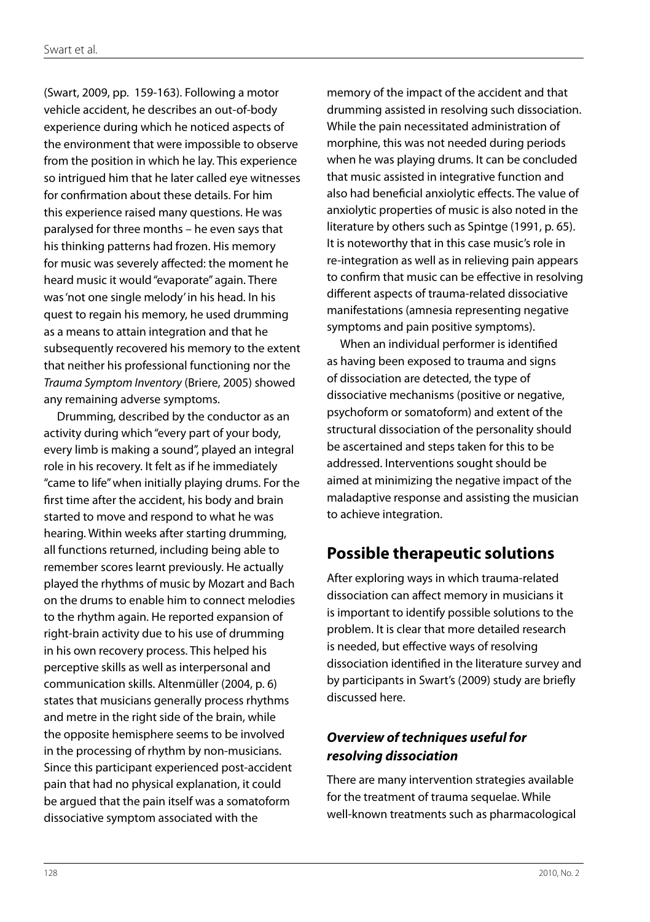(Swart, 2009, pp. 159-163). Following a motor vehicle accident, he describes an out-of-body experience during which he noticed aspects of the environment that were impossible to observe from the position in which he lay. This experience so intrigued him that he later called eye witnesses for confirmation about these details. For him this experience raised many questions. He was paralysed for three months – he even says that his thinking patterns had frozen. His memory for music was severely affected: the moment he heard music it would "evaporate" again. There was 'not one single melody' in his head. In his quest to regain his memory, he used drumming as a means to attain integration and that he subsequently recovered his memory to the extent that neither his professional functioning nor the *Trauma Symptom Inventory* (Briere, 2005) showed any remaining adverse symptoms.

Drumming, described by the conductor as an activity during which "every part of your body, every limb is making a sound", played an integral role in his recovery. It felt as if he immediately "came to life" when initially playing drums. For the first time after the accident, his body and brain started to move and respond to what he was hearing. Within weeks after starting drumming, all functions returned, including being able to remember scores learnt previously. He actually played the rhythms of music by Mozart and Bach on the drums to enable him to connect melodies to the rhythm again. He reported expansion of right-brain activity due to his use of drumming in his own recovery process. This helped his perceptive skills as well as interpersonal and communication skills. Altenmüller (2004, p. 6) states that musicians generally process rhythms and metre in the right side of the brain, while the opposite hemisphere seems to be involved in the processing of rhythm by non-musicians. Since this participant experienced post-accident pain that had no physical explanation, it could be argued that the pain itself was a somatoform dissociative symptom associated with the

memory of the impact of the accident and that drumming assisted in resolving such dissociation. While the pain necessitated administration of morphine, this was not needed during periods when he was playing drums. It can be concluded that music assisted in integrative function and also had beneficial anxiolytic effects. The value of anxiolytic properties of music is also noted in the literature by others such as Spintge (1991, p. 65). It is noteworthy that in this case music's role in re-integration as well as in relieving pain appears to confirm that music can be effective in resolving different aspects of trauma-related dissociative manifestations (amnesia representing negative symptoms and pain positive symptoms).

When an individual performer is identified as having been exposed to trauma and signs of dissociation are detected, the type of dissociative mechanisms (positive or negative, psychoform or somatoform) and extent of the structural dissociation of the personality should be ascertained and steps taken for this to be addressed. Interventions sought should be aimed at minimizing the negative impact of the maladaptive response and assisting the musician to achieve integration.

## **Possible therapeutic solutions**

After exploring ways in which trauma-related dissociation can affect memory in musicians it is important to identify possible solutions to the problem. It is clear that more detailed research is needed, but effective ways of resolving dissociation identified in the literature survey and by participants in Swart's (2009) study are briefly discussed here.

### *Overview of techniques useful for resolving dissociation*

There are many intervention strategies available for the treatment of trauma sequelae. While well-known treatments such as pharmacological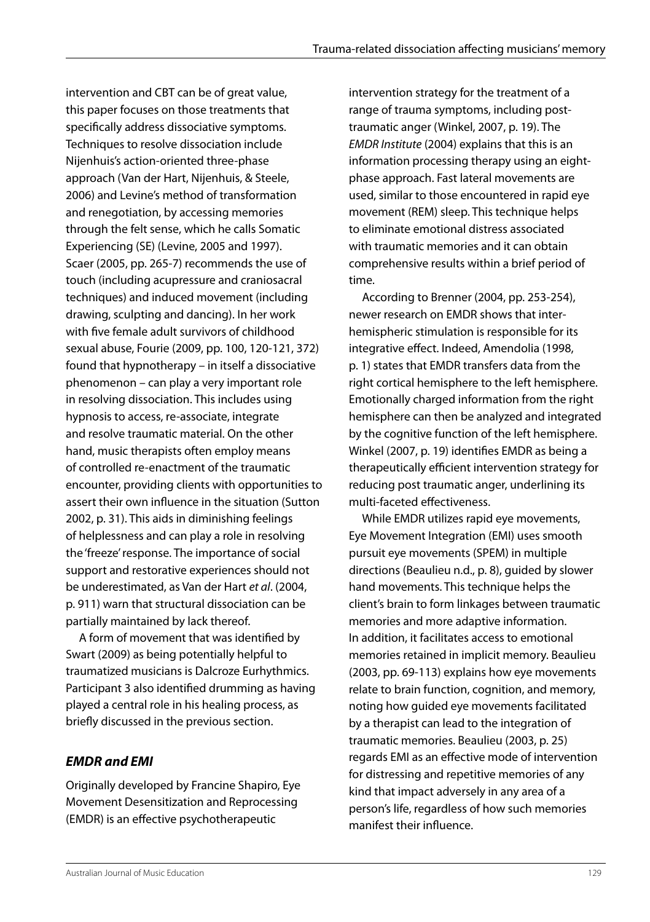intervention and CBT can be of great value. this paper focuses on those treatments that specifically address dissociative symptoms. Techniques to resolve dissociation include Nijenhuis's action-oriented three-phase approach (Van der Hart, Nijenhuis, & Steele, 2006) and Levine's method of transformation and renegotiation, by accessing memories through the felt sense, which he calls Somatic Experiencing (SE) (Levine, 2005 and 1997). Scaer (2005, pp. 265-7) recommends the use of touch (including acupressure and craniosacral techniques) and induced movement (including drawing, sculpting and dancing). In her work with five female adult survivors of childhood sexual abuse, Fourie (2009, pp. 100, 120-121, 372) found that hypnotherapy – in itself a dissociative phenomenon – can play a very important role in resolving dissociation. This includes using hypnosis to access, re-associate, integrate and resolve traumatic material. On the other hand, music therapists often employ means of controlled re-enactment of the traumatic encounter, providing clients with opportunities to assert their own influence in the situation (Sutton 2002, p. 31). This aids in diminishing feelings of helplessness and can play a role in resolving the 'freeze' response. The importance of social support and restorative experiences should not be underestimated, as Van der Hart *et al*. (2004, p. 911) warn that structural dissociation can be partially maintained by lack thereof.

A form of movement that was identified by Swart (2009) as being potentially helpful to traumatized musicians is Dalcroze Eurhythmics. Participant 3 also identified drumming as having played a central role in his healing process, as briefly discussed in the previous section.

### *EMDR and EMI*

Originally developed by Francine Shapiro, Eye Movement Desensitization and Reprocessing (EMDR) is an effective psychotherapeutic

intervention strategy for the treatment of a range of trauma symptoms, including posttraumatic anger (Winkel, 2007, p. 19). The *EMDR Institute* (2004) explains that this is an information processing therapy using an eightphase approach. Fast lateral movements are used, similar to those encountered in rapid eye movement (REM) sleep. This technique helps to eliminate emotional distress associated with traumatic memories and it can obtain comprehensive results within a brief period of time.

According to Brenner (2004, pp. 253-254), newer research on EMDR shows that interhemispheric stimulation is responsible for its integrative effect. Indeed, Amendolia (1998, p. 1) states that EMDR transfers data from the right cortical hemisphere to the left hemisphere. Emotionally charged information from the right hemisphere can then be analyzed and integrated by the cognitive function of the left hemisphere. Winkel (2007, p. 19) identifies EMDR as being a therapeutically efficient intervention strategy for reducing post traumatic anger, underlining its multi-faceted effectiveness.

While EMDR utilizes rapid eye movements, Eye Movement Integration (EMI) uses smooth pursuit eye movements (SPEM) in multiple directions (Beaulieu n.d., p. 8), guided by slower hand movements. This technique helps the client's brain to form linkages between traumatic memories and more adaptive information. In addition, it facilitates access to emotional memories retained in implicit memory. Beaulieu (2003, pp. 69-113) explains how eye movements relate to brain function, cognition, and memory, noting how guided eye movements facilitated by a therapist can lead to the integration of traumatic memories. Beaulieu (2003, p. 25) regards EMI as an effective mode of intervention for distressing and repetitive memories of any kind that impact adversely in any area of a person's life, regardless of how such memories manifest their influence.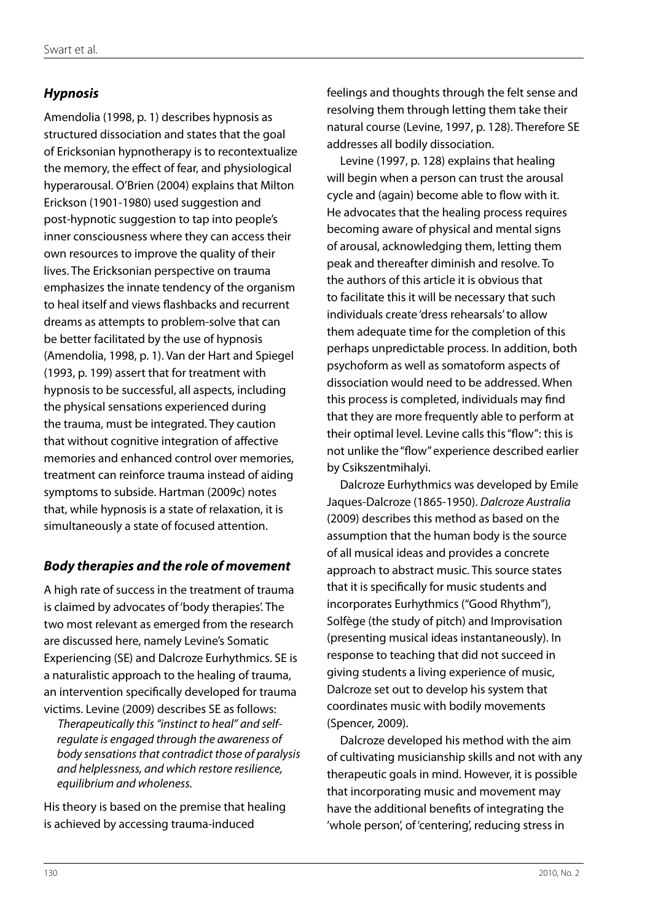### *Hypnosis*

Amendolia (1998, p. 1) describes hypnosis as structured dissociation and states that the goal of Ericksonian hypnotherapy is to recontextualize the memory, the effect of fear, and physiological hyperarousal. O'Brien (2004) explains that Milton Erickson (1901-1980) used suggestion and post-hypnotic suggestion to tap into people's inner consciousness where they can access their own resources to improve the quality of their lives. The Ericksonian perspective on trauma emphasizes the innate tendency of the organism to heal itself and views flashbacks and recurrent dreams as attempts to problem-solve that can be better facilitated by the use of hypnosis (Amendolia, 1998, p. 1). Van der Hart and Spiegel (1993, p. 199) assert that for treatment with hypnosis to be successful, all aspects, including the physical sensations experienced during the trauma, must be integrated. They caution that without cognitive integration of affective memories and enhanced control over memories, treatment can reinforce trauma instead of aiding symptoms to subside. Hartman (2009c) notes that, while hypnosis is a state of relaxation, it is simultaneously a state of focused attention.

### *Body therapies and the role of movement*

A high rate of success in the treatment of trauma is claimed by advocates of 'body therapies'. The two most relevant as emerged from the research are discussed here, namely Levine's Somatic Experiencing (SE) and Dalcroze Eurhythmics. SE is a naturalistic approach to the healing of trauma, an intervention specifically developed for trauma victims. Levine (2009) describes SE as follows:

*Therapeutically this "instinct to heal" and selfregulate is engaged through the awareness of body sensations that contradict those of paralysis and helplessness, and which restore resilience, equilibrium and wholeness.* 

His theory is based on the premise that healing is achieved by accessing trauma-induced

feelings and thoughts through the felt sense and resolving them through letting them take their natural course (Levine, 1997, p. 128). Therefore SE addresses all bodily dissociation.

Levine (1997, p. 128) explains that healing will begin when a person can trust the arousal cycle and (again) become able to flow with it. He advocates that the healing process requires becoming aware of physical and mental signs of arousal, acknowledging them, letting them peak and thereafter diminish and resolve. To the authors of this article it is obvious that to facilitate this it will be necessary that such individuals create 'dress rehearsals' to allow them adequate time for the completion of this perhaps unpredictable process. In addition, both psychoform as well as somatoform aspects of dissociation would need to be addressed. When this process is completed, individuals may find that they are more frequently able to perform at their optimal level. Levine calls this "flow": this is not unlike the "flow" experience described earlier by Csikszentmihalyi.

Dalcroze Eurhythmics was developed by Emile Jaques-Dalcroze (1865-1950). *Dalcroze Australia*  (2009) describes this method as based on the assumption that the human body is the source of all musical ideas and provides a concrete approach to abstract music. This source states that it is specifically for music students and incorporates Eurhythmics ("Good Rhythm"), Solfège (the study of pitch) and Improvisation (presenting musical ideas instantaneously). In response to teaching that did not succeed in giving students a living experience of music, Dalcroze set out to develop his system that coordinates music with bodily movements (Spencer, 2009).

Dalcroze developed his method with the aim of cultivating musicianship skills and not with any therapeutic goals in mind. However, it is possible that incorporating music and movement may have the additional benefits of integrating the 'whole person', of 'centering', reducing stress in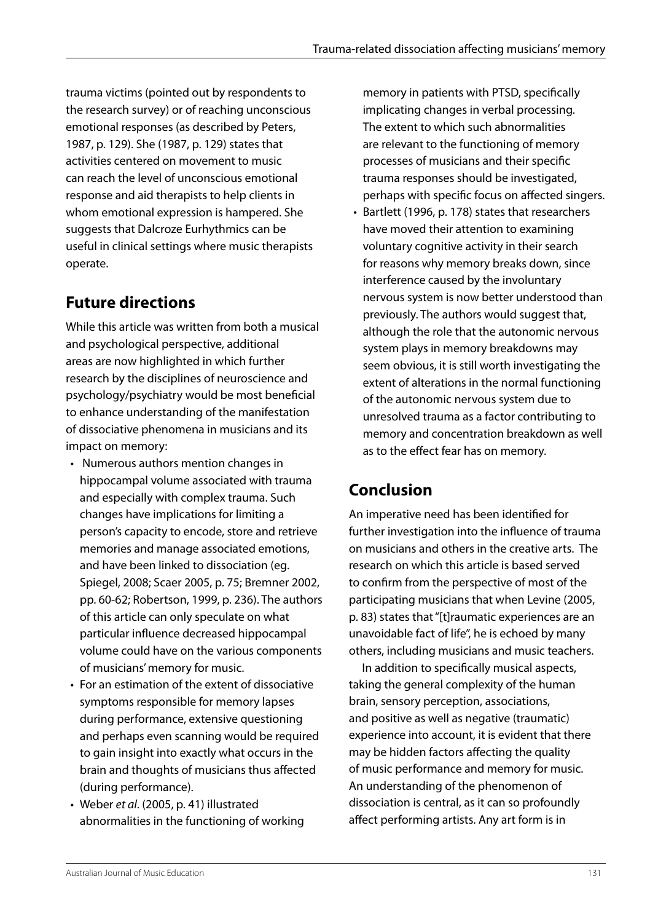trauma victims (pointed out by respondents to the research survey) or of reaching unconscious emotional responses (as described by Peters, 1987, p. 129). She (1987, p. 129) states that activities centered on movement to music can reach the level of unconscious emotional response and aid therapists to help clients in whom emotional expression is hampered. She suggests that Dalcroze Eurhythmics can be useful in clinical settings where music therapists operate.

# **Future directions**

While this article was written from both a musical and psychological perspective, additional areas are now highlighted in which further research by the disciplines of neuroscience and psychology/psychiatry would be most beneficial to enhance understanding of the manifestation of dissociative phenomena in musicians and its impact on memory:

- • Numerous authors mention changes in hippocampal volume associated with trauma and especially with complex trauma. Such changes have implications for limiting a person's capacity to encode, store and retrieve memories and manage associated emotions, and have been linked to dissociation (eg. Spiegel, 2008; Scaer 2005, p. 75; Bremner 2002, pp. 60-62; Robertson, 1999, p. 236). The authors of this article can only speculate on what particular influence decreased hippocampal volume could have on the various components of musicians' memory for music.
- For an estimation of the extent of dissociative symptoms responsible for memory lapses during performance, extensive questioning and perhaps even scanning would be required to gain insight into exactly what occurs in the brain and thoughts of musicians thus affected (during performance).
- • Weber *et al*. (2005, p. 41) illustrated abnormalities in the functioning of working

memory in patients with PTSD, specifically implicating changes in verbal processing. The extent to which such abnormalities are relevant to the functioning of memory processes of musicians and their specific trauma responses should be investigated, perhaps with specific focus on affected singers.

• Bartlett (1996, p. 178) states that researchers have moved their attention to examining voluntary cognitive activity in their search for reasons why memory breaks down, since interference caused by the involuntary nervous system is now better understood than previously. The authors would suggest that, although the role that the autonomic nervous system plays in memory breakdowns may seem obvious, it is still worth investigating the extent of alterations in the normal functioning of the autonomic nervous system due to unresolved trauma as a factor contributing to memory and concentration breakdown as well as to the effect fear has on memory.

# **Conclusion**

An imperative need has been identified for further investigation into the influence of trauma on musicians and others in the creative arts. The research on which this article is based served to confirm from the perspective of most of the participating musicians that when Levine (2005, p. 83) states that "[t]raumatic experiences are an unavoidable fact of life", he is echoed by many others, including musicians and music teachers.

In addition to specifically musical aspects, taking the general complexity of the human brain, sensory perception, associations, and positive as well as negative (traumatic) experience into account, it is evident that there may be hidden factors affecting the quality of music performance and memory for music. An understanding of the phenomenon of dissociation is central, as it can so profoundly affect performing artists. Any art form is in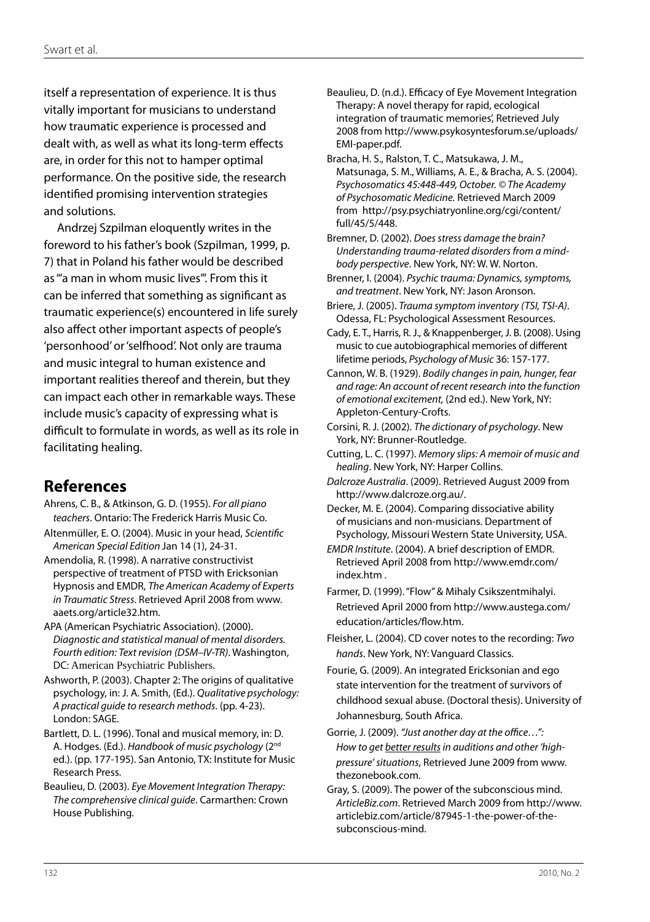itself a representation of experience. It is thus vitally important for musicians to understand how traumatic experience is processed and dealt with, as well as what its long-term effects are, in order for this not to hamper optimal performance. On the positive side, the research identified promising intervention strategies and solutions.

Andrzej Szpilman eloquently writes in the foreword to his father's book (Szpilman, 1999, p. 7) that in Poland his father would be described as "'a man in whom music lives'". From this it can be inferred that something as significant as traumatic experience(s) encountered in life surely also affect other important aspects of people's 'personhood' or 'selfhood'. Not only are trauma and music integral to human existence and important realities thereof and therein, but they can impact each other in remarkable ways. These include music's capacity of expressing what is difficult to formulate in words, as well as its role in facilitating healing.

### **References**

- Ahrens, C. B., & Atkinson, G. D. (1955). *For all piano teachers*. Ontario: The Frederick Harris Music Co. Altenmüller, E. O. (2004). Music in your head, *Scientific American Special Edition* Jan 14 (1), 24-31.
- Amendolia, R. (1998). A narrative constructivist perspective of treatment of PTSD with Ericksonian Hypnosis and EMDR, *The American Academy of Experts in Traumatic Stress*. Retrieved April 2008 from www. aaets.org/article32.htm.
- APA (American Psychiatric Association). (2000). *Diagnostic and statistical manual of mental disorders. Fourth edition: Text revision (DSM–IV-TR)*. Washington, DC: American Psychiatric Publishers.
- Ashworth, P. (2003). Chapter 2: The origins of qualitative psychology, in: J. A. Smith, (Ed.). *Qualitative psychology: A practical guide to research methods*. (pp. 4-23). London: SAGE.
- Bartlett, D. L. (1996). Tonal and musical memory, in: D. A. Hodges. (Ed.). *Handbook of music psychology* (2nd ed.). (pp. 177-195). San Antonio, TX: Institute for Music Research Press.
- Beaulieu, D. (2003). *Eye Movement Integration Therapy: The comprehensive clinical guide*. Carmarthen: Crown House Publishing.
- Beaulieu, D. (n.d.). Efficacy of Eye Movement Integration Therapy: A novel therapy for rapid, ecological integration of traumatic memories', Retrieved July 2008 from http://www.psykosyntesforum.se/uploads/ EMI-paper.pdf.
- Bracha, H. S., Ralston, T. C., Matsukawa, J. M., Matsunaga, S. M., Williams, A. E., & Bracha, A. S. (2004). *Psychosomatics 45:448-449, October. © The Academy of Psychosomatic Medicine.* Retrieved March 2009 from http://psy.psychiatryonline.org/cgi/content/ full/45/5/448.
- Bremner, D. (2002). *Does stress damage the brain? Understanding trauma-related disorders from a mindbody perspective*. New York, NY: W. W. Norton.
- Brenner, I. (2004). *Psychic trauma: Dynamics, symptoms, and treatment*. New York, NY: Jason Aronson.
- Briere, J. (2005). *Trauma symptom inventory (TSI, TSI-A)*. Odessa, FL: Psychological Assessment Resources.
- Cady, E. T., Harris, R. J., & Knappenberger, J. B. (2008). Using music to cue autobiographical memories of different lifetime periods, *Psychology of Music* 36: 157-177.
- Cannon, W. B. (1929). *Bodily changes in pain, hunger, fear and rage: An account of recent research into the function of emotional excitement,* (2nd ed.). New York, NY: Appleton-Century-Crofts.
- Corsini, R. J. (2002). *The dictionary of psychology*. New York, NY: Brunner-Routledge.
- Cutting, L. C. (1997). *Memory slips: A memoir of music and healing*. New York, NY: Harper Collins.
- *Dalcroze Australia*. (2009). Retrieved August 2009 from http://www.dalcroze.org.au/.
- Decker, M. E. (2004). Comparing dissociative ability of musicians and non-musicians. Department of Psychology, Missouri Western State University, USA.
- *EMDR Institute*. (2004). A brief description of EMDR. Retrieved April 2008 from http://www.emdr.com/ index.htm .
- Farmer, D. (1999). "Flow" & Mihaly Csikszentmihalyi. Retrieved April 2000 from http://www.austega.com/ education/articles/flow.htm.
- Fleisher, L. (2004). CD cover notes to the recording: *Two hands*. New York, NY: Vanguard Classics.
- Fourie, G. (2009). An integrated Ericksonian and ego state intervention for the treatment of survivors of childhood sexual abuse. (Doctoral thesis). University of Johannesburg, South Africa.
- Gorrie, J. (2009). *"Just another day at the office…": How to get better results in auditions and other 'highpressure' situations*, Retrieved June 2009 from www. thezonebook.com.
- Gray, S. (2009). The power of the subconscious mind. *ArticleBiz.com*. Retrieved March 2009 from http://www. articlebiz.com/article/87945-1-the-power-of-thesubconscious-mind.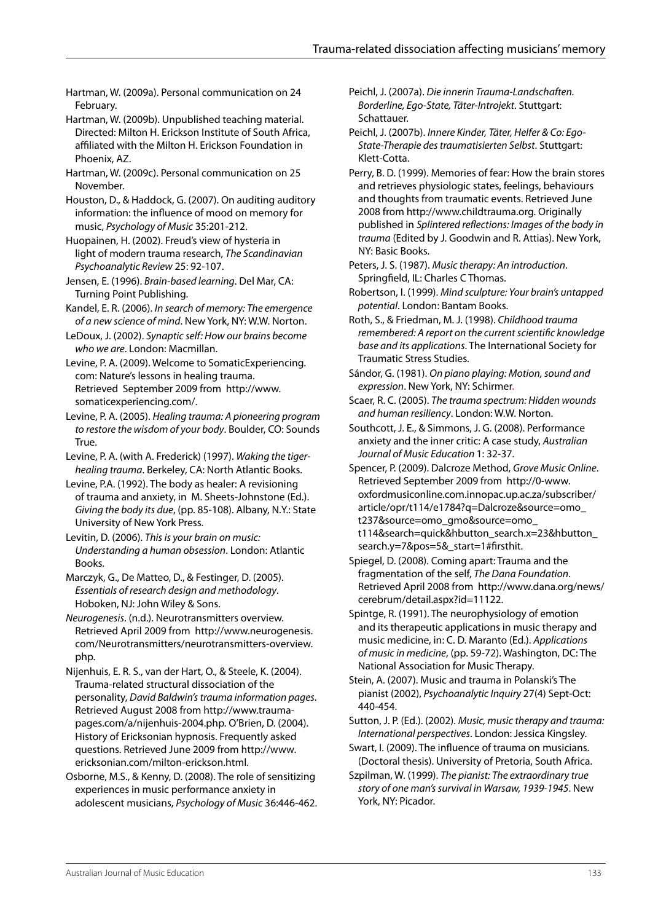- Hartman, W. (2009a). Personal communication on 24 February.
- Hartman, W. (2009b). Unpublished teaching material. Directed: Milton H. Erickson Institute of South Africa, affiliated with the Milton H. Erickson Foundation in Phoenix, AZ.
- Hartman, W. (2009c). Personal communication on 25 November.
- Houston, D., & Haddock, G. (2007). On auditing auditory information: the influence of mood on memory for music, *Psychology of Music* 35:201-212.
- Huopainen, H. (2002). Freud's view of hysteria in light of modern trauma research, *The Scandinavian Psychoanalytic Review* 25: 92-107.
- Jensen, E. (1996). *Brain-based learning*. Del Mar, CA: Turning Point Publishing.
- Kandel, E. R. (2006). *In search of memory: The emergence of a new science of mind*. New York, NY: W.W. Norton.
- LeDoux, J. (2002). *Synaptic self: How our brains become who we are*. London: Macmillan.
- Levine, P. A. (2009). Welcome to SomaticExperiencing. com: Nature's lessons in healing trauma. Retrieved September 2009 from http://www. somaticexperiencing.com/.
- Levine, P. A. (2005). *Healing trauma: A pioneering program to restore the wisdom of your body*. Boulder, CO: Sounds True.
- Levine, P. A. (with A. Frederick) (1997). *Waking the tigerhealing trauma*. Berkeley, CA: North Atlantic Books.
- Levine, P.A. (1992). The body as healer: A revisioning of trauma and anxiety, in M. Sheets-Johnstone (Ed.). *Giving the body its due*, (pp. 85-108). Albany, N.Y.: State University of New York Press.
- Levitin, D. (2006). *This is your brain on music: Understanding a human obsession*. London: Atlantic Books.
- Marczyk, G., De Matteo, D., & Festinger, D. (2005). *Essentials of research design and methodology*. Hoboken, NJ: John Wiley & Sons.
- *Neurogenesis*. (n.d.). Neurotransmitters overview. Retrieved April 2009 from http://www.neurogenesis. com/Neurotransmitters/neurotransmitters-overview. php.
- Nijenhuis, E. R. S., van der Hart, O., & Steele, K. (2004). Trauma-related structural dissociation of the personality, *David Baldwin's trauma information pages*. Retrieved August 2008 from http://www.traumapages.com/a/nijenhuis-2004.php. O'Brien, D. (2004). History of Ericksonian hypnosis. Frequently asked questions. Retrieved June 2009 from http://www. ericksonian.com/milton-erickson.html.
- Osborne, M.S., & Kenny, D. (2008). The role of sensitizing experiences in music performance anxiety in adolescent musicians, *Psychology of Music* 36:446-462.
- Peichl, J. (2007a). *Die innerin Trauma-Landschaften. Borderline, Ego-State, Täter-Introjekt*. Stuttgart: Schattauer.
- Peichl, J. (2007b). *Innere Kinder, Täter, Helfer & Co: Ego-State-Therapie des traumatisierten Selbst*. Stuttgart: Klett-Cotta.
- Perry, B. D. (1999). Memories of fear: How the brain stores and retrieves physiologic states, feelings, behaviours and thoughts from traumatic events. Retrieved June 2008 from http://www.childtrauma.org. Originally published in *Splintered reflections: Images of the body in trauma* (Edited by J. Goodwin and R. Attias). New York, NY: Basic Books.
- Peters, J. S. (1987). *Music therapy: An introduction*. Springfield, IL: Charles C Thomas.
- Robertson, I. (1999). *Mind sculpture: Your brain's untapped potential*. London: Bantam Books.
- Roth, S., & Friedman, M. J. (1998). *Childhood trauma remembered: A report on the current scientific knowledge base and its applications*. The International Society for Traumatic Stress Studies.
- Sándor, G. (1981). *On piano playing: Motion, sound and expression*. New York, NY: Schirmer.
- Scaer, R. C. (2005). *The trauma spectrum: Hidden wounds and human resiliency*. London: W.W. Norton.
- Southcott, J. E., & Simmons, J. G. (2008). Performance anxiety and the inner critic: A case study, *Australian Journal of Music Education* 1: 32-37.
- Spencer, P. (2009). Dalcroze Method, *Grove Music Online*. Retrieved September 2009 from http://0-www. oxfordmusiconline.com.innopac.up.ac.za/subscriber/ article/opr/t114/e1784?q=Dalcroze&source=omo\_ t237&source=omo\_gmo&source=omo\_ t114&search=quick&hbutton\_search.x=23&hbutton\_ search.y=7&pos=5&\_start=1#firsthit.
- Spiegel, D. (2008). Coming apart: Trauma and the fragmentation of the self, *The Dana Foundation*. Retrieved April 2008 from http://www.dana.org/news/ cerebrum/detail.aspx?id=11122.
- Spintge, R. (1991). The neurophysiology of emotion and its therapeutic applications in music therapy and music medicine, in: C. D. Maranto (Ed.). *Applications of music in medicine*, (pp. 59-72). Washington, DC: The National Association for Music Therapy.
- Stein, A. (2007). Music and trauma in Polanski's The pianist (2002), *Psychoanalytic Inquiry* 27(4) Sept-Oct: 440-454.
- Sutton, J. P. (Ed.). (2002). *Music, music therapy and trauma: International perspectives*. London: Jessica Kingsley.
- Swart, I. (2009). The influence of trauma on musicians. (Doctoral thesis). University of Pretoria, South Africa.
- Szpilman, W. (1999). *The pianist: The extraordinary true story of one man's survival in Warsaw, 1939-1945*. New York, NY: Picador.